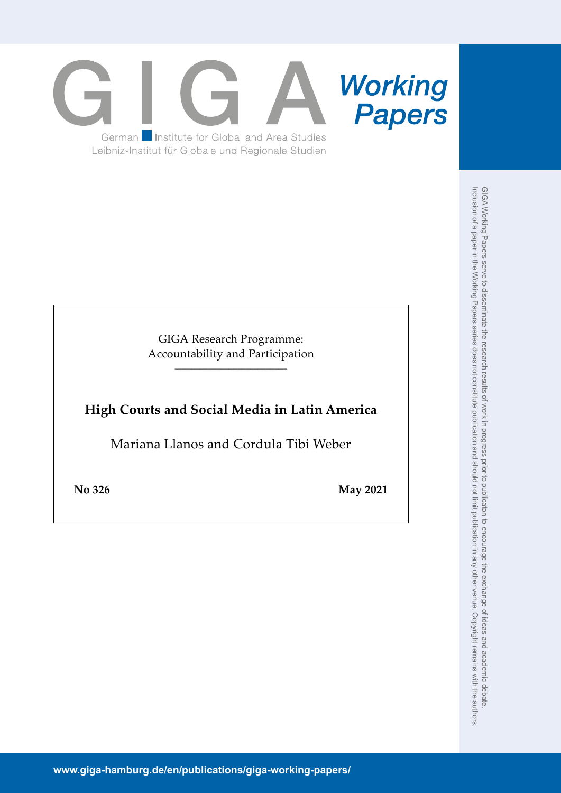

GIGA Research Programme: Accountability and Participation \_\_\_\_\_\_\_\_\_\_\_\_\_\_\_\_\_\_\_\_\_\_\_\_\_\_\_

# **High Courts and Social Media in Latin America**

Mariana Llanos and Cordula Tibi Weber

**No 326 May 2021**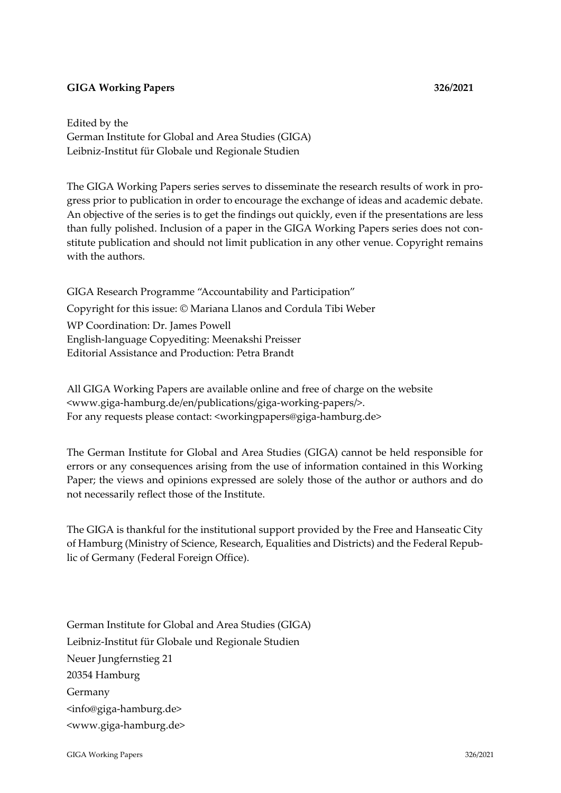## **GIGA Working Papers 326/2021**

Edited by the German Institute for Global and Area Studies (GIGA) Leibniz-Institut für Globale und Regionale Studien

The GIGA Working Papers series serves to disseminate the research results of work in progress prior to publication in order to encourage the exchange of ideas and academic debate. An objective of the series is to get the findings out quickly, even if the presentations are less than fully polished. Inclusion of a paper in the GIGA Working Papers series does not constitute publication and should not limit publication in any other venue. Copyright remains with the authors.

GIGA Research Programme "Accountability and Participation" Copyright for this issue: © Mariana Llanos and Cordula Tibi Weber WP Coordination: Dr. James Powell English-language Copyediting: Meenakshi Preisser Editorial Assistance and Production: Petra Brandt

All GIGA Working Papers are available online and free of charge on the website <www.giga-hamburg.de/en/publications/giga-working-papers/>. For any requests please contact: <workingpapers@giga-hamburg.de>

The German Institute for Global and Area Studies (GIGA) cannot be held responsible for errors or any consequences arising from the use of information contained in this Working Paper; the views and opinions expressed are solely those of the author or authors and do not necessarily reflect those of the Institute.

The GIGA is thankful for the institutional support provided by the Free and Hanseatic City of Hamburg (Ministry of Science, Research, Equalities and Districts) and the Federal Republic of Germany (Federal Foreign Office).

German Institute for Global and Area Studies (GIGA) Leibniz-Institut für Globale und Regionale Studien Neuer Jungfernstieg 21 20354 Hamburg Germany <info@giga-hamburg.de> <www.giga-hamburg.de>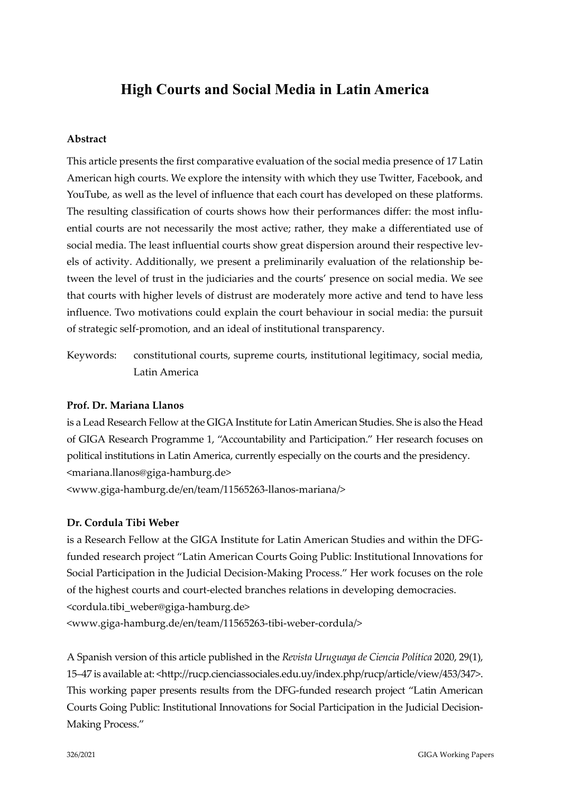# **High Courts and Social Media in Latin America**

## **Abstract**

This article presents the first comparative evaluation of the social media presence of 17 Latin American high courts. We explore the intensity with which they use Twitter, Facebook, and YouTube, as well as the level of influence that each court has developed on these platforms. The resulting classification of courts shows how their performances differ: the most influential courts are not necessarily the most active; rather, they make a differentiated use of social media. The least influential courts show great dispersion around their respective levels of activity. Additionally, we present a preliminarily evaluation of the relationship between the level of trust in the judiciaries and the courts' presence on social media. We see that courts with higher levels of distrust are moderately more active and tend to have less influence. Two motivations could explain the court behaviour in social media: the pursuit of strategic self-promotion, and an ideal of institutional transparency.

Keywords: constitutional courts, supreme courts, institutional legitimacy, social media, Latin America

## **Prof. Dr. Mariana Llanos**

is a Lead Research Fellow at the GIGA Institute for Latin American Studies. She is also the Head of GIGA Research Programme 1, "Accountability and Participation." Her research focuses on political institutions in Latin America, currently especially on the courts and the presidency. <mariana.llanos@giga-hamburg.de>

<www.giga-hamburg.de/en/team/11565263-llanos-mariana/>

## **Dr. Cordula Tibi Weber**

is a Research Fellow at the GIGA Institute for Latin American Studies and within the DFGfunded research project "Latin American Courts Going Public: Institutional Innovations for Social Participation in the Judicial Decision-Making Process." Her work focuses on the role of the highest courts and court-elected branches relations in developing democracies. <cordula.tibi\_weber@giga-hamburg.de> <www.giga-hamburg.de/en/team/11565263-tibi-weber-cordula/>

A Spanish version of this article published in the *Revista Uruguaya de Ciencia Política* 2020, 29(1), 15–47 is available at: <http://rucp.cienciassociales.edu.uy/index.php/rucp/article/view/453/347>. This working paper presents results from the DFG-funded research project "Latin American Courts Going Public: Institutional Innovations for Social Participation in the Judicial Decision-Making Process."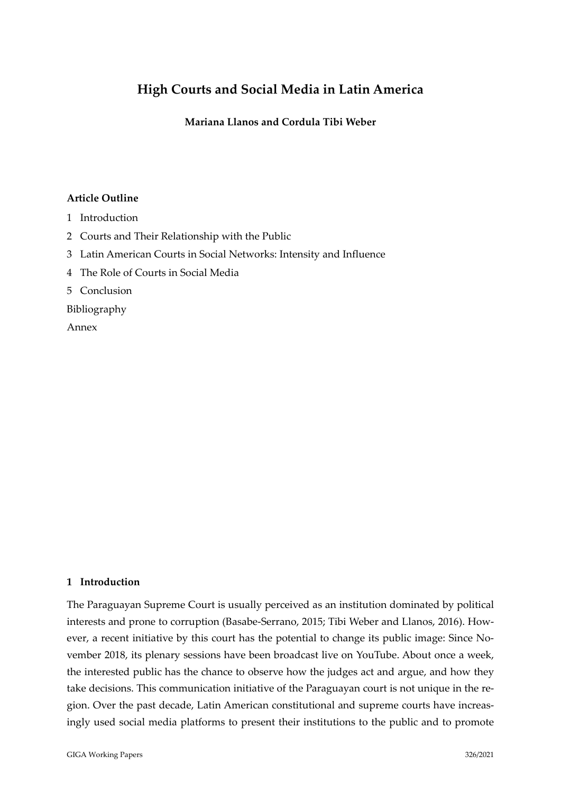## **High Courts and Social Media in Latin America**

**Mariana Llanos and Cordula Tibi Weber**

## **Article Outline**

- 1 [Introduction](#page-3-0)
- 2 [Courts and Their Relationship with the Public](#page-5-0)
- 3 [Latin American Courts in Social Networks: Intensity and Influence](#page-10-0)
- 4 [The Role of Courts in Social Media](#page-16-0)
- 5 [Conclusion](#page-21-0)

[Bibliography](#page-23-0)

[Annex](#page-26-0)

## <span id="page-3-0"></span>**1 Introduction**

The Paraguayan Supreme Court is usually perceived as an institution dominated by political interests and prone to corruption (Basabe-Serrano, 2015; Tibi Weber and Llanos, 2016). However, a recent initiative by this court has the potential to change its public image: Since November 2018, its plenary sessions have been broadcast live on YouTube. About once a week, the interested public has the chance to observe how the judges act and argue, and how they take decisions. This communication initiative of the Paraguayan court is not unique in the region. Over the past decade, Latin American constitutional and supreme courts have increasingly used social media platforms to present their institutions to the public and to promote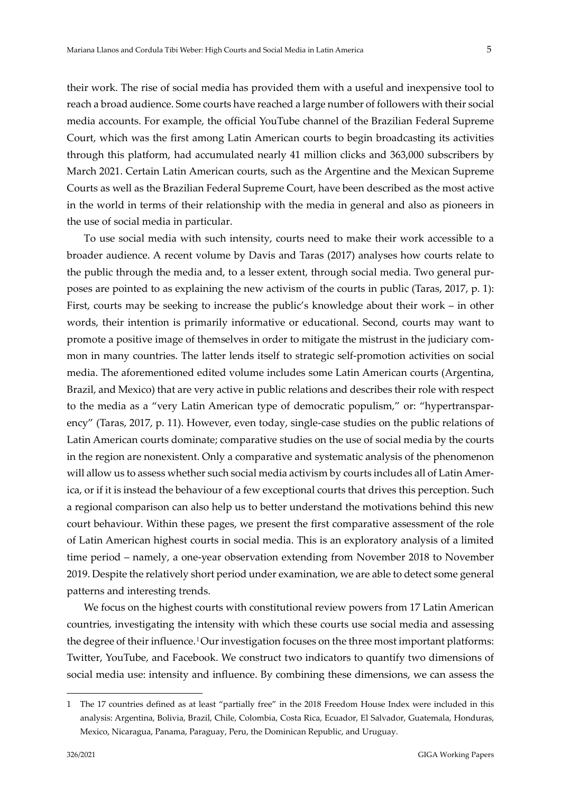their work. The rise of social media has provided them with a useful and inexpensive tool to reach a broad audience. Some courts have reached a large number of followers with their social media accounts. For example, the official YouTube channel of the Brazilian Federal Supreme Court, which was the first among Latin American courts to begin broadcasting its activities through this platform, had accumulated nearly 41 million clicks and 363,000 subscribers by March 2021. Certain Latin American courts, such as the Argentine and the Mexican Supreme Courts as well as the Brazilian Federal Supreme Court, have been described as the most active in the world in terms of their relationship with the media in general and also as pioneers in the use of social media in particular.

To use social media with such intensity, courts need to make their work accessible to a broader audience. A recent volume by Davis and Taras (2017) analyses how courts relate to the public through the media and, to a lesser extent, through social media. Two general purposes are pointed to as explaining the new activism of the courts in public (Taras, 2017, p. 1): First, courts may be seeking to increase the public's knowledge about their work – in other words, their intention is primarily informative or educational. Second, courts may want to promote a positive image of themselves in order to mitigate the mistrust in the judiciary common in many countries. The latter lends itself to strategic self-promotion activities on social media. The aforementioned edited volume includes some Latin American courts (Argentina, Brazil, and Mexico) that are very active in public relations and describes their role with respect to the media as a "very Latin American type of democratic populism," or: "hypertransparency" (Taras, 2017, p. 11). However, even today, single-case studies on the public relations of Latin American courts dominate; comparative studies on the use of social media by the courts in the region are nonexistent. Only a comparative and systematic analysis of the phenomenon will allow us to assess whether such social media activism by courts includes all of Latin America, or if it is instead the behaviour of a few exceptional courts that drives this perception. Such a regional comparison can also help us to better understand the motivations behind this new court behaviour. Within these pages, we present the first comparative assessment of the role of Latin American highest courts in social media. This is an exploratory analysis of a limited time period – namely, a one-year observation extending from November 2018 to November 2019. Despite the relatively short period under examination, we are able to detect some general patterns and interesting trends.

We focus on the highest courts with constitutional review powers from 17 Latin American countries, investigating the intensity with which these courts use social media and assessing the degree of their influence.[1](#page-4-0)Our investigation focuses on the three most important platforms: Twitter, YouTube, and Facebook. We construct two indicators to quantify two dimensions of social media use: intensity and influence. By combining these dimensions, we can assess the

<span id="page-4-0"></span><sup>1</sup> The 17 countries defined as at least "partially free" in the 2018 Freedom House Index were included in this analysis: Argentina, Bolivia, Brazil, Chile, Colombia, Costa Rica, Ecuador, El Salvador, Guatemala, Honduras, Mexico, Nicaragua, Panama, Paraguay, Peru, the Dominican Republic, and Uruguay.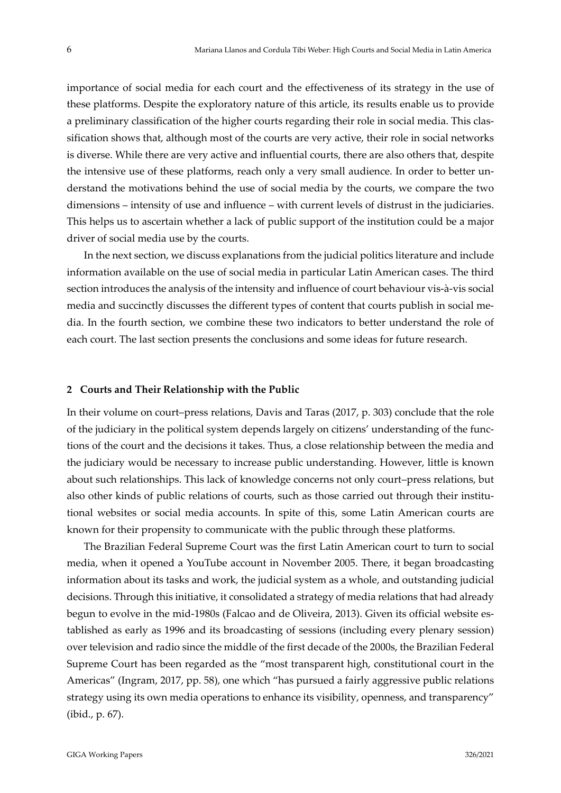importance of social media for each court and the effectiveness of its strategy in the use of these platforms. Despite the exploratory nature of this article, its results enable us to provide a preliminary classification of the higher courts regarding their role in social media. This classification shows that, although most of the courts are very active, their role in social networks is diverse. While there are very active and influential courts, there are also others that, despite the intensive use of these platforms, reach only a very small audience. In order to better understand the motivations behind the use of social media by the courts, we compare the two dimensions – intensity of use and influence – with current levels of distrust in the judiciaries. This helps us to ascertain whether a lack of public support of the institution could be a major driver of social media use by the courts.

In the next section, we discuss explanations from the judicial politics literature and include information available on the use of social media in particular Latin American cases. The third section introduces the analysis of the intensity and influence of court behaviour vis-à-vis social media and succinctly discusses the different types of content that courts publish in social media. In the fourth section, we combine these two indicators to better understand the role of each court. The last section presents the conclusions and some ideas for future research.

#### <span id="page-5-0"></span>**2 Courts and Their Relationship with the Public**

In their volume on court–press relations, Davis and Taras (2017, p. 303) conclude that the role of the judiciary in the political system depends largely on citizens' understanding of the functions of the court and the decisions it takes. Thus, a close relationship between the media and the judiciary would be necessary to increase public understanding. However, little is known about such relationships. This lack of knowledge concerns not only court–press relations, but also other kinds of public relations of courts, such as those carried out through their institutional websites or social media accounts. In spite of this, some Latin American courts are known for their propensity to communicate with the public through these platforms.

The Brazilian Federal Supreme Court was the first Latin American court to turn to social media, when it opened a YouTube account in November 2005. There, it began broadcasting information about its tasks and work, the judicial system as a whole, and outstanding judicial decisions. Through this initiative, it consolidated a strategy of media relations that had already begun to evolve in the mid-1980s (Falcao and de Oliveira, 2013). Given its official website established as early as 1996 and its broadcasting of sessions (including every plenary session) over television and radio since the middle of the first decade of the 2000s, the Brazilian Federal Supreme Court has been regarded as the "most transparent high, constitutional court in the Americas" (Ingram, 2017, pp. 58), one which "has pursued a fairly aggressive public relations strategy using its own media operations to enhance its visibility, openness, and transparency" (ibid., p. 67).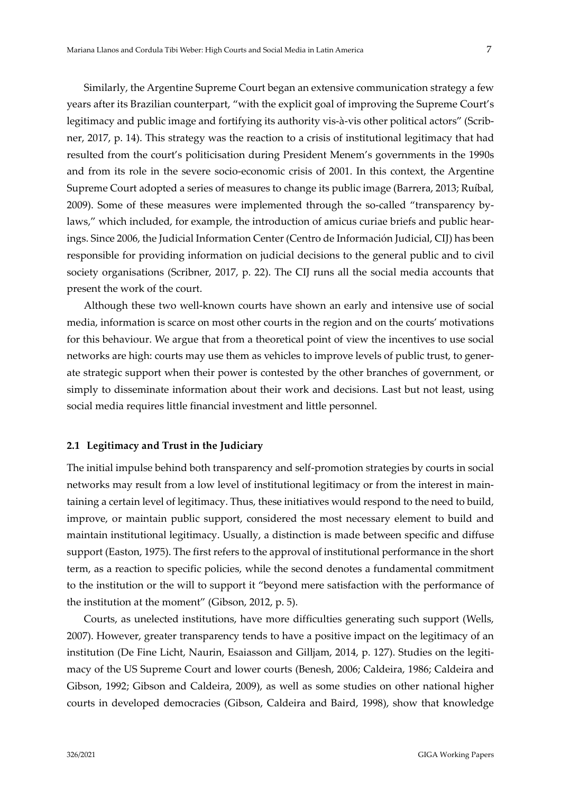Similarly, the Argentine Supreme Court began an extensive communication strategy a few years after its Brazilian counterpart, "with the explicit goal of improving the Supreme Court's legitimacy and public image and fortifying its authority vis-à-vis other political actors" (Scribner, 2017, p. 14). This strategy was the reaction to a crisis of institutional legitimacy that had resulted from the court's politicisation during President Menem's governments in the 1990s and from its role in the severe socio-economic crisis of 2001. In this context, the Argentine Supreme Court adopted a series of measures to change its public image (Barrera, 2013; Ruíbal, 2009). Some of these measures were implemented through the so-called "transparency bylaws," which included, for example, the introduction of amicus curiae briefs and public hearings. Since 2006, the Judicial Information Center (Centro de Información Judicial, CIJ) has been responsible for providing information on judicial decisions to the general public and to civil society organisations (Scribner, 2017, p. 22). The CIJ runs all the social media accounts that present the work of the court.

Although these two well-known courts have shown an early and intensive use of social media, information is scarce on most other courts in the region and on the courts' motivations for this behaviour. We argue that from a theoretical point of view the incentives to use social networks are high: courts may use them as vehicles to improve levels of public trust, to generate strategic support when their power is contested by the other branches of government, or simply to disseminate information about their work and decisions. Last but not least, using social media requires little financial investment and little personnel.

#### **2.1 Legitimacy and Trust in the Judiciary**

The initial impulse behind both transparency and self-promotion strategies by courts in social networks may result from a low level of institutional legitimacy or from the interest in maintaining a certain level of legitimacy. Thus, these initiatives would respond to the need to build, improve, or maintain public support, considered the most necessary element to build and maintain institutional legitimacy. Usually, a distinction is made between specific and diffuse support (Easton, 1975). The first refers to the approval of institutional performance in the short term, as a reaction to specific policies, while the second denotes a fundamental commitment to the institution or the will to support it "beyond mere satisfaction with the performance of the institution at the moment" (Gibson, 2012, p. 5).

Courts, as unelected institutions, have more difficulties generating such support (Wells, 2007). However, greater transparency tends to have a positive impact on the legitimacy of an institution (De Fine Licht, Naurin, Esaiasson and Gilljam, 2014, p. 127). Studies on the legitimacy of the US Supreme Court and lower courts (Benesh, 2006; Caldeira, 1986; Caldeira and Gibson, 1992; Gibson and Caldeira, 2009), as well as some studies on other national higher courts in developed democracies (Gibson, Caldeira and Baird, 1998), show that knowledge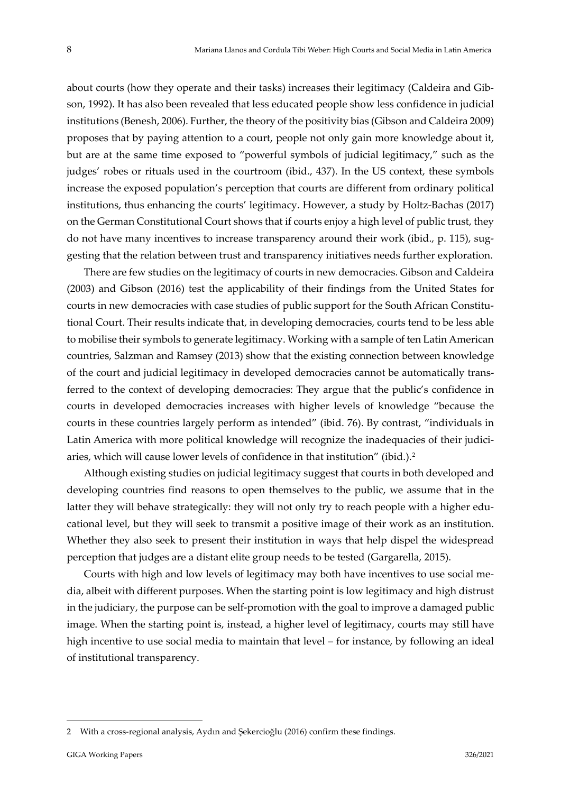about courts (how they operate and their tasks) increases their legitimacy (Caldeira and Gibson, 1992). It has also been revealed that less educated people show less confidence in judicial institutions (Benesh, 2006). Further, the theory of the positivity bias (Gibson and Caldeira 2009) proposes that by paying attention to a court, people not only gain more knowledge about it, but are at the same time exposed to "powerful symbols of judicial legitimacy," such as the judges' robes or rituals used in the courtroom (ibid., 437). In the US context, these symbols increase the exposed population's perception that courts are different from ordinary political institutions, thus enhancing the courts' legitimacy. However, a study by Holtz-Bachas (2017) on the German Constitutional Court shows that if courts enjoy a high level of public trust, they do not have many incentives to increase transparency around their work (ibid., p. 115), suggesting that the relation between trust and transparency initiatives needs further exploration.

There are few studies on the legitimacy of courts in new democracies. Gibson and Caldeira (2003) and Gibson (2016) test the applicability of their findings from the United States for courts in new democracies with case studies of public support for the South African Constitutional Court. Their results indicate that, in developing democracies, courts tend to be less able to mobilise their symbols to generate legitimacy. Working with a sample of ten Latin American countries, Salzman and Ramsey (2013) show that the existing connection between knowledge of the court and judicial legitimacy in developed democracies cannot be automatically transferred to the context of developing democracies: They argue that the public's confidence in courts in developed democracies increases with higher levels of knowledge "because the courts in these countries largely perform as intended" (ibid. 76). By contrast, "individuals in Latin America with more political knowledge will recognize the inadequacies of their judiciaries, which will cause lower levels of confidence in that institution" (ibid.).[2](#page-7-0)

Although existing studies on judicial legitimacy suggest that courts in both developed and developing countries find reasons to open themselves to the public, we assume that in the latter they will behave strategically: they will not only try to reach people with a higher educational level, but they will seek to transmit a positive image of their work as an institution. Whether they also seek to present their institution in ways that help dispel the widespread perception that judges are a distant elite group needs to be tested (Gargarella, 2015).

Courts with high and low levels of legitimacy may both have incentives to use social media, albeit with different purposes. When the starting point is low legitimacy and high distrust in the judiciary, the purpose can be self-promotion with the goal to improve a damaged public image. When the starting point is, instead, a higher level of legitimacy, courts may still have high incentive to use social media to maintain that level – for instance, by following an ideal of institutional transparency.

<span id="page-7-0"></span><sup>2</sup> With a cross-regional analysis, Aydın and Şekercioğlu (2016) confirm these findings.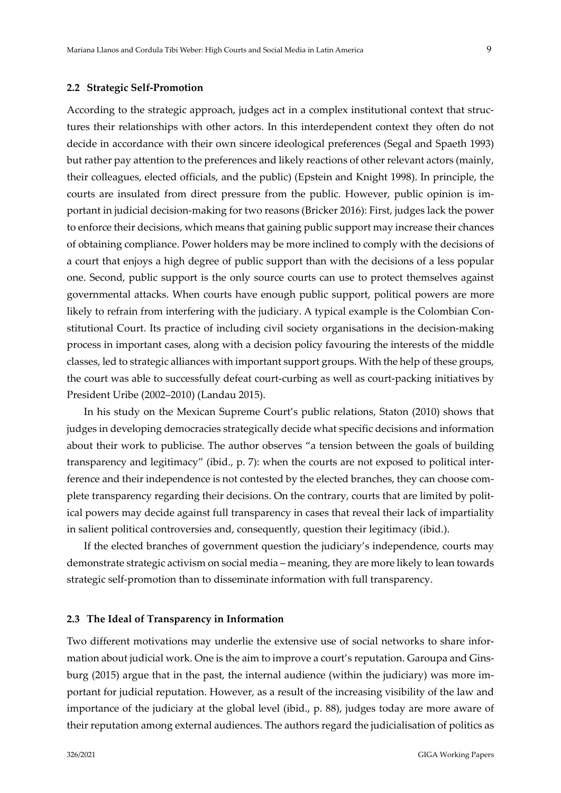#### **2.2 Strategic Self-Promotion**

According to the strategic approach, judges act in a complex institutional context that structures their relationships with other actors. In this interdependent context they often do not decide in accordance with their own sincere ideological preferences (Segal and Spaeth 1993) but rather pay attention to the preferences and likely reactions of other relevant actors (mainly, their colleagues, elected officials, and the public) (Epstein and Knight 1998). In principle, the courts are insulated from direct pressure from the public. However, public opinion is important in judicial decision-making for two reasons (Bricker 2016): First, judges lack the power to enforce their decisions, which means that gaining public support may increase their chances of obtaining compliance. Power holders may be more inclined to comply with the decisions of a court that enjoys a high degree of public support than with the decisions of a less popular one. Second, public support is the only source courts can use to protect themselves against governmental attacks. When courts have enough public support, political powers are more likely to refrain from interfering with the judiciary. A typical example is the Colombian Constitutional Court. Its practice of including civil society organisations in the decision-making process in important cases, along with a decision policy favouring the interests of the middle classes, led to strategic alliances with important support groups. With the help of these groups, the court was able to successfully defeat court-curbing as well as court-packing initiatives by President Uribe (2002–2010) (Landau 2015).

In his study on the Mexican Supreme Court's public relations, Staton (2010) shows that judges in developing democracies strategically decide what specific decisions and information about their work to publicise. The author observes "a tension between the goals of building transparency and legitimacy" (ibid., p. 7): when the courts are not exposed to political interference and their independence is not contested by the elected branches, they can choose complete transparency regarding their decisions. On the contrary, courts that are limited by political powers may decide against full transparency in cases that reveal their lack of impartiality in salient political controversies and, consequently, question their legitimacy (ibid.).

If the elected branches of government question the judiciary's independence, courts may demonstrate strategic activism on social media – meaning, they are more likely to lean towards strategic self-promotion than to disseminate information with full transparency.

#### **2.3 The Ideal of Transparency in Information**

Two different motivations may underlie the extensive use of social networks to share information about judicial work. One is the aim to improve a court's reputation. Garoupa and Ginsburg (2015) argue that in the past, the internal audience (within the judiciary) was more important for judicial reputation. However, as a result of the increasing visibility of the law and importance of the judiciary at the global level (ibid., p. 88), judges today are more aware of their reputation among external audiences. The authors regard the judicialisation of politics as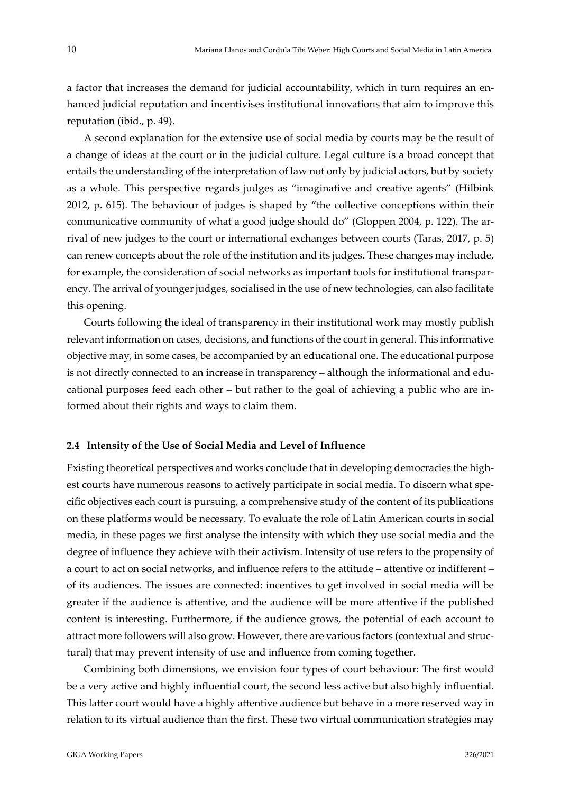a factor that increases the demand for judicial accountability, which in turn requires an enhanced judicial reputation and incentivises institutional innovations that aim to improve this reputation (ibid., p. 49).

A second explanation for the extensive use of social media by courts may be the result of a change of ideas at the court or in the judicial culture. Legal culture is a broad concept that entails the understanding of the interpretation of law not only by judicial actors, but by society as a whole. This perspective regards judges as "imaginative and creative agents" (Hilbink 2012, p. 615). The behaviour of judges is shaped by "the collective conceptions within their communicative community of what a good judge should do" (Gloppen 2004, p. 122). The arrival of new judges to the court or international exchanges between courts (Taras, 2017, p. 5) can renew concepts about the role of the institution and its judges. These changes may include, for example, the consideration of social networks as important tools for institutional transparency. The arrival of younger judges, socialised in the use of new technologies, can also facilitate this opening.

Courts following the ideal of transparency in their institutional work may mostly publish relevant information on cases, decisions, and functions of the court in general. This informative objective may, in some cases, be accompanied by an educational one. The educational purpose is not directly connected to an increase in transparency – although the informational and educational purposes feed each other – but rather to the goal of achieving a public who are informed about their rights and ways to claim them.

#### **2.4 Intensity of the Use of Social Media and Level of Influence**

Existing theoretical perspectives and works conclude that in developing democracies the highest courts have numerous reasons to actively participate in social media. To discern what specific objectives each court is pursuing, a comprehensive study of the content of its publications on these platforms would be necessary. To evaluate the role of Latin American courts in social media, in these pages we first analyse the intensity with which they use social media and the degree of influence they achieve with their activism. Intensity of use refers to the propensity of a court to act on social networks, and influence refers to the attitude – attentive or indifferent – of its audiences. The issues are connected: incentives to get involved in social media will be greater if the audience is attentive, and the audience will be more attentive if the published content is interesting. Furthermore, if the audience grows, the potential of each account to attract more followers will also grow. However, there are various factors (contextual and structural) that may prevent intensity of use and influence from coming together.

Combining both dimensions, we envision four types of court behaviour: The first would be a very active and highly influential court, the second less active but also highly influential. This latter court would have a highly attentive audience but behave in a more reserved way in relation to its virtual audience than the first. These two virtual communication strategies may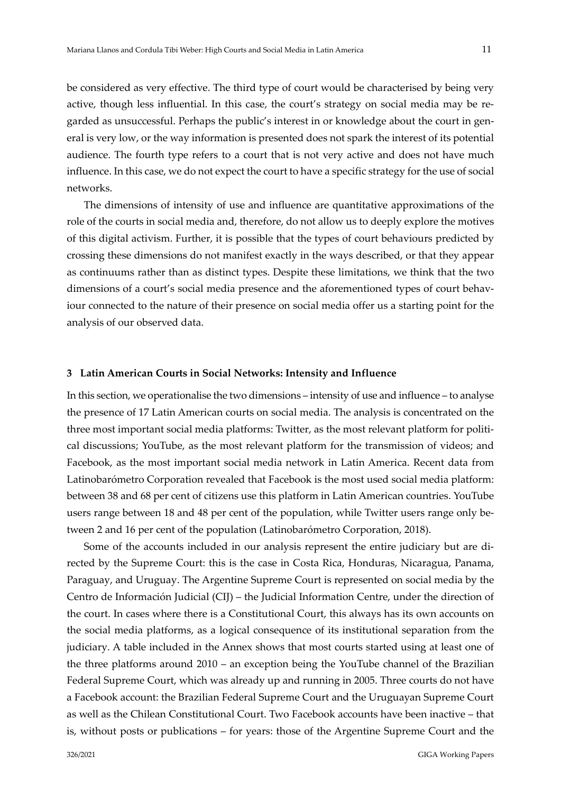be considered as very effective. The third type of court would be characterised by being very active, though less influential. In this case, the court's strategy on social media may be regarded as unsuccessful. Perhaps the public's interest in or knowledge about the court in general is very low, or the way information is presented does not spark the interest of its potential audience. The fourth type refers to a court that is not very active and does not have much influence. In this case, we do not expect the court to have a specific strategy for the use of social networks.

The dimensions of intensity of use and influence are quantitative approximations of the role of the courts in social media and, therefore, do not allow us to deeply explore the motives of this digital activism. Further, it is possible that the types of court behaviours predicted by crossing these dimensions do not manifest exactly in the ways described, or that they appear as continuums rather than as distinct types. Despite these limitations, we think that the two dimensions of a court's social media presence and the aforementioned types of court behaviour connected to the nature of their presence on social media offer us a starting point for the analysis of our observed data.

## <span id="page-10-0"></span>**3 Latin American Courts in Social Networks: Intensity and Influence**

In this section, we operationalise the two dimensions – intensity of use and influence – to analyse the presence of 17 Latin American courts on social media. The analysis is concentrated on the three most important social media platforms: Twitter, as the most relevant platform for political discussions; YouTube, as the most relevant platform for the transmission of videos; and Facebook, as the most important social media network in Latin America. Recent data from Latinobarómetro Corporation revealed that Facebook is the most used social media platform: between 38 and 68 per cent of citizens use this platform in Latin American countries. YouTube users range between 18 and 48 per cent of the population, while Twitter users range only between 2 and 16 per cent of the population (Latinobarómetro Corporation, 2018).

Some of the accounts included in our analysis represent the entire judiciary but are directed by the Supreme Court: this is the case in Costa Rica, Honduras, Nicaragua, Panama, Paraguay, and Uruguay. The Argentine Supreme Court is represented on social media by the Centro de Información Judicial (CIJ) – the Judicial Information Centre, under the direction of the court. In cases where there is a Constitutional Court, this always has its own accounts on the social media platforms, as a logical consequence of its institutional separation from the judiciary. A table included in the Annex shows that most courts started using at least one of the three platforms around 2010 – an exception being the YouTube channel of the Brazilian Federal Supreme Court, which was already up and running in 2005. Three courts do not have a Facebook account: the Brazilian Federal Supreme Court and the Uruguayan Supreme Court as well as the Chilean Constitutional Court. Two Facebook accounts have been inactive – that is, without posts or publications – for years: those of the Argentine Supreme Court and the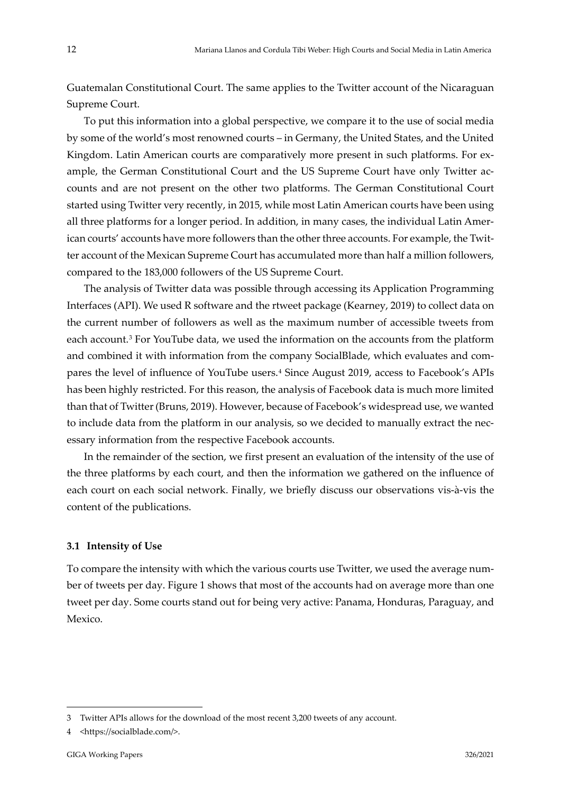Guatemalan Constitutional Court. The same applies to the Twitter account of the Nicaraguan Supreme Court.

To put this information into a global perspective, we compare it to the use of social media by some of the world's most renowned courts – in Germany, the United States, and the United Kingdom. Latin American courts are comparatively more present in such platforms. For example, the German Constitutional Court and the US Supreme Court have only Twitter accounts and are not present on the other two platforms. The German Constitutional Court started using Twitter very recently, in 2015, while most Latin American courts have been using all three platforms for a longer period. In addition, in many cases, the individual Latin American courts' accounts have more followers than the other three accounts. For example, the Twitter account of the Mexican Supreme Court has accumulated more than half a million followers, compared to the 183,000 followers of the US Supreme Court.

The analysis of Twitter data was possible through accessing its Application Programming Interfaces (API). We used R software and the rtweet package (Kearney, 2019) to collect data on the current number of followers as well as the maximum number of accessible tweets from each account.[3](#page-11-0) For YouTube data, we used the information on the accounts from the platform and combined it with information from the company SocialBlade, which evaluates and compares the level of influence of YouTube users.[4](#page-11-1) Since August 2019, access to Facebook's APIs has been highly restricted. For this reason, the analysis of Facebook data is much more limited than that of Twitter (Bruns, 2019). However, because of Facebook's widespread use, we wanted to include data from the platform in our analysis, so we decided to manually extract the necessary information from the respective Facebook accounts.

In the remainder of the section, we first present an evaluation of the intensity of the use of the three platforms by each court, and then the information we gathered on the influence of each court on each social network. Finally, we briefly discuss our observations vis-à-vis the content of the publications.

#### **3.1 Intensity of Use**

To compare the intensity with which the various courts use Twitter, we used the average number of tweets per day. Figure 1 shows that most of the accounts had on average more than one tweet per day. Some courts stand out for being very active: Panama, Honduras, Paraguay, and Mexico.

<span id="page-11-0"></span><sup>3</sup> Twitter APIs allows for the download of the most recent 3,200 tweets of any account.

<span id="page-11-1"></span><sup>4</sup> <https://socialblade.com/>.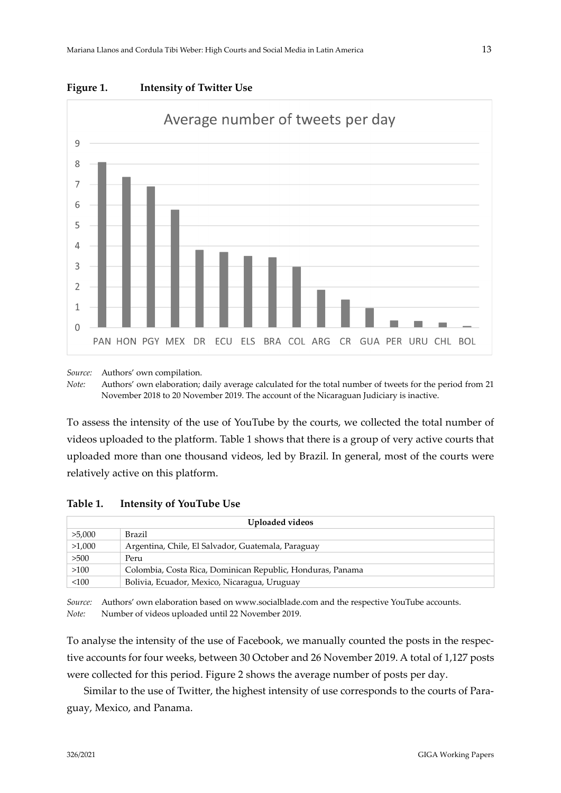

**Figure 1. Intensity of Twitter Use**

*Source:* Authors' own compilation.

*Note:* Authors' own elaboration; daily average calculated for the total number of tweets for the period from 21 November 2018 to 20 November 2019. The account of the Nicaraguan Judiciary is inactive.

To assess the intensity of the use of YouTube by the courts, we collected the total number of videos uploaded to the platform. Table 1 shows that there is a group of very active courts that uploaded more than one thousand videos, led by Brazil. In general, most of the courts were relatively active on this platform.

## **Table 1. Intensity of YouTube Use**

| Uploaded videos |                                                            |  |  |  |  |
|-----------------|------------------------------------------------------------|--|--|--|--|
| >5,000          | Brazil                                                     |  |  |  |  |
| >1,000          | Argentina, Chile, El Salvador, Guatemala, Paraguay         |  |  |  |  |
| >500            | Peru                                                       |  |  |  |  |
| >100            | Colombia, Costa Rica, Dominican Republic, Honduras, Panama |  |  |  |  |
| < 100           | Bolivia, Ecuador, Mexico, Nicaragua, Uruguay               |  |  |  |  |

*Source:* Authors' own elaboration based on www.socialblade.com and the respective YouTube accounts. *Note:* Number of videos uploaded until 22 November 2019.

To analyse the intensity of the use of Facebook, we manually counted the posts in the respective accounts for four weeks, between 30 October and 26 November 2019. A total of 1,127 posts were collected for this period. Figure 2 shows the average number of posts per day.

Similar to the use of Twitter, the highest intensity of use corresponds to the courts of Paraguay, Mexico, and Panama.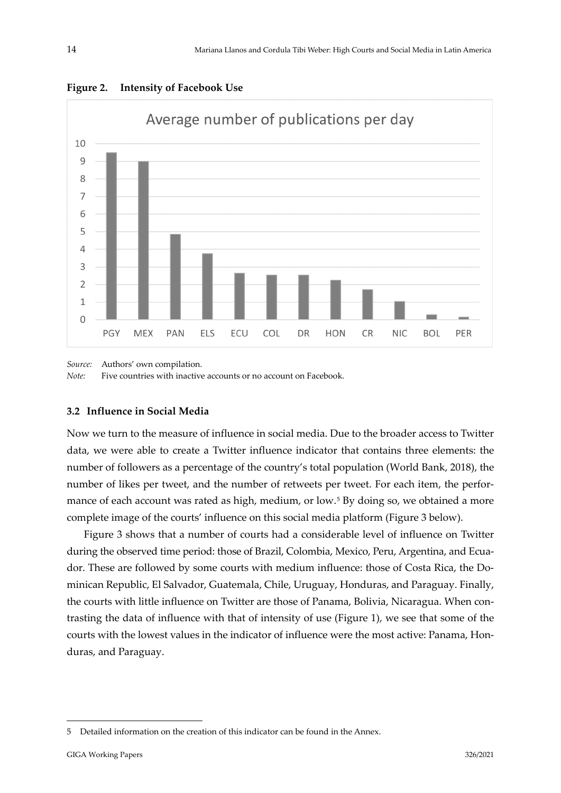

**Figure 2. Intensity of Facebook Use**

*Source:* Authors' own compilation.

*Note:* Five countries with inactive accounts or no account on Facebook.

### **3.2 Influence in Social Media**

Now we turn to the measure of influence in social media. Due to the broader access to Twitter data, we were able to create a Twitter influence indicator that contains three elements: the number of followers as a percentage of the country's total population (World Bank, 2018), the number of likes per tweet, and the number of retweets per tweet. For each item, the perfor-mance of each account was rated as high, medium, or low.<sup>[5](#page-13-0)</sup> By doing so, we obtained a more complete image of the courts' influence on this social media platform (Figure 3 below).

Figure 3 shows that a number of courts had a considerable level of influence on Twitter during the observed time period: those of Brazil, Colombia, Mexico, Peru, Argentina, and Ecuador. These are followed by some courts with medium influence: those of Costa Rica, the Dominican Republic, El Salvador, Guatemala, Chile, Uruguay, Honduras, and Paraguay. Finally, the courts with little influence on Twitter are those of Panama, Bolivia, Nicaragua. When contrasting the data of influence with that of intensity of use (Figure 1), we see that some of the courts with the lowest values in the indicator of influence were the most active: Panama, Honduras, and Paraguay.

<span id="page-13-0"></span><sup>5</sup> Detailed information on the creation of this indicator can be found in the Annex.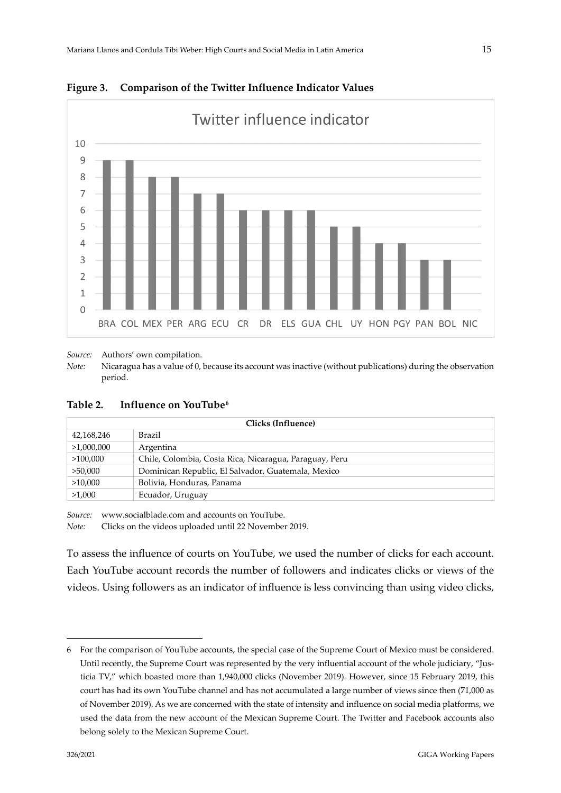

**Figure 3. Comparison of the Twitter Influence Indicator Values** 

*Source:* Authors' own compilation.

*Note:* Nicaragua has a value of 0, because its account was inactive (without publications) during the observation period.

| Table 2.<br>Influence on YouTube <sup>6</sup> |  |
|-----------------------------------------------|--|
|-----------------------------------------------|--|

| Clicks (Influence) |                                                        |  |  |  |  |
|--------------------|--------------------------------------------------------|--|--|--|--|
| 42,168,246         | Brazil                                                 |  |  |  |  |
| >1,000,000         | Argentina                                              |  |  |  |  |
| >100,000           | Chile, Colombia, Costa Rica, Nicaragua, Paraguay, Peru |  |  |  |  |
| >50,000            | Dominican Republic, El Salvador, Guatemala, Mexico     |  |  |  |  |
| >10,000            | Bolivia, Honduras, Panama                              |  |  |  |  |
| >1,000             | Ecuador, Uruguay                                       |  |  |  |  |

*Source:* www.socialblade.com and accounts on YouTube.

*Note:* Clicks on the videos uploaded until 22 November 2019.

To assess the influence of courts on YouTube, we used the number of clicks for each account. Each YouTube account records the number of followers and indicates clicks or views of the videos. Using followers as an indicator of influence is less convincing than using video clicks,

<span id="page-14-0"></span><sup>6</sup> For the comparison of YouTube accounts, the special case of the Supreme Court of Mexico must be considered. Until recently, the Supreme Court was represented by the very influential account of the whole judiciary, "Justicia TV," which boasted more than 1,940,000 clicks (November 2019). However, since 15 February 2019, this court has had its own YouTube channel and has not accumulated a large number of views since then (71,000 as of November 2019). As we are concerned with the state of intensity and influence on social media platforms, we used the data from the new account of the Mexican Supreme Court. The Twitter and Facebook accounts also belong solely to the Mexican Supreme Court.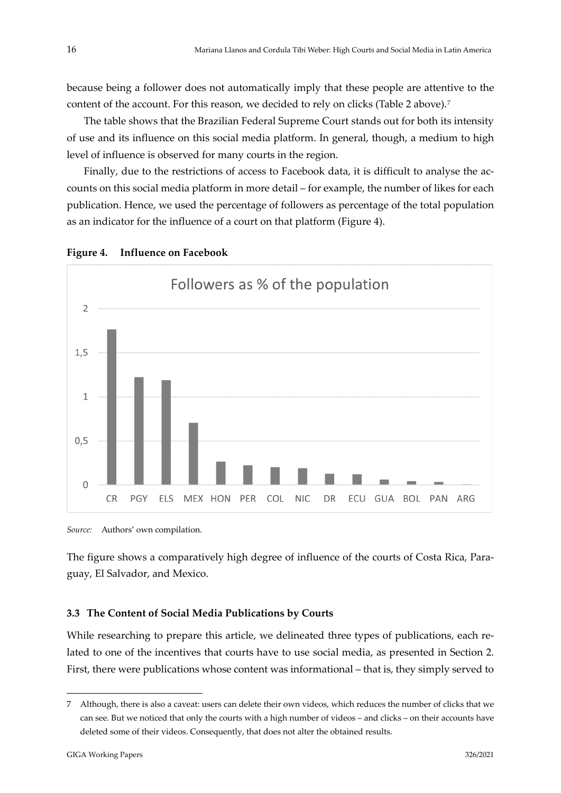because being a follower does not automatically imply that these people are attentive to the content of the account. For this reason, we decided to rely on clicks (Table 2 above).<sup>[7](#page-15-0)</sup>

The table shows that the Brazilian Federal Supreme Court stands out for both its intensity of use and its influence on this social media platform. In general, though, a medium to high level of influence is observed for many courts in the region.

Finally, due to the restrictions of access to Facebook data, it is difficult to analyse the accounts on this social media platform in more detail – for example, the number of likes for each publication. Hence, we used the percentage of followers as percentage of the total population as an indicator for the influence of a court on that platform (Figure 4).



#### **Figure 4. Influence on Facebook**

*Source:* Authors' own compilation.

The figure shows a comparatively high degree of influence of the courts of Costa Rica, Paraguay, El Salvador, and Mexico.

#### **3.3 The Content of Social Media Publications by Courts**

While researching to prepare this article, we delineated three types of publications, each related to one of the incentives that courts have to use social media, as presented in Section 2. First, there were publications whose content was informational – that is, they simply served to

<span id="page-15-0"></span><sup>7</sup> Although, there is also a caveat: users can delete their own videos, which reduces the number of clicks that we can see. But we noticed that only the courts with a high number of videos – and clicks – on their accounts have deleted some of their videos. Consequently, that does not alter the obtained results.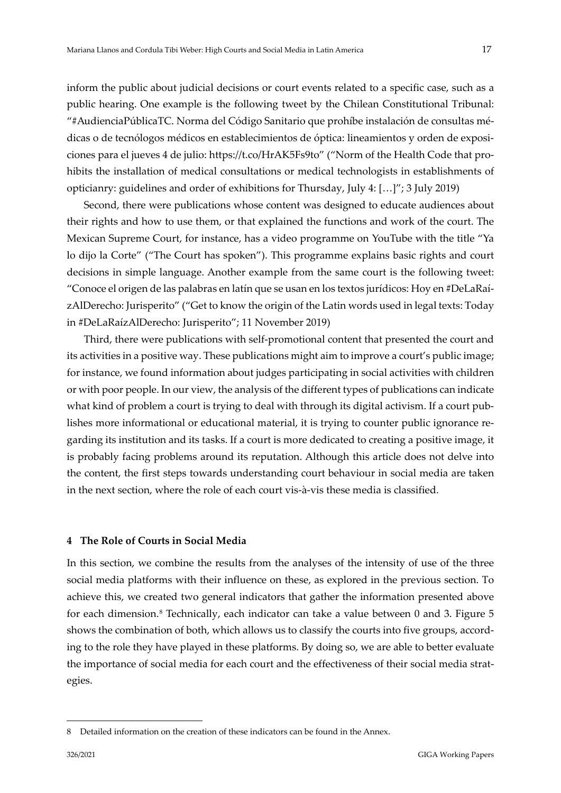inform the public about judicial decisions or court events related to a specific case, such as a public hearing. One example is the following tweet by the Chilean Constitutional Tribunal: "#AudienciaPúblicaTC. Norma del Código Sanitario que prohíbe instalación de consultas médicas o de tecnólogos médicos en establecimientos de óptica: lineamientos y orden de exposiciones para el jueves 4 de julio: https://t.co/HrAK5Fs9to" ("Norm of the Health Code that prohibits the installation of medical consultations or medical technologists in establishments of opticianry: guidelines and order of exhibitions for Thursday, July 4: […]"; 3 July 2019)

Second, there were publications whose content was designed to educate audiences about their rights and how to use them, or that explained the functions and work of the court. The Mexican Supreme Court, for instance, has a video programme on YouTube with the title "Ya lo dijo la Corte" ("The Court has spoken"). This programme explains basic rights and court decisions in simple language. Another example from the same court is the following tweet: "Conoce el origen de las palabras en latín que se usan en los textos jurídicos: Hoy en #DeLaRaízAlDerecho: Jurisperito" ("Get to know the origin of the Latin words used in legal texts: Today in #DeLaRaízAlDerecho: Jurisperito"; 11 November 2019)

Third, there were publications with self-promotional content that presented the court and its activities in a positive way. These publications might aim to improve a court's public image; for instance, we found information about judges participating in social activities with children or with poor people. In our view, the analysis of the different types of publications can indicate what kind of problem a court is trying to deal with through its digital activism. If a court publishes more informational or educational material, it is trying to counter public ignorance regarding its institution and its tasks. If a court is more dedicated to creating a positive image, it is probably facing problems around its reputation. Although this article does not delve into the content, the first steps towards understanding court behaviour in social media are taken in the next section, where the role of each court vis-à-vis these media is classified.

### <span id="page-16-0"></span>**4 The Role of Courts in Social Media**

In this section, we combine the results from the analyses of the intensity of use of the three social media platforms with their influence on these, as explored in the previous section. To achieve this, we created two general indicators that gather the information presented above for each dimension.[8](#page-16-1) Technically, each indicator can take a value between 0 and 3. Figure 5 shows the combination of both, which allows us to classify the courts into five groups, according to the role they have played in these platforms. By doing so, we are able to better evaluate the importance of social media for each court and the effectiveness of their social media strategies.

<span id="page-16-1"></span><sup>8</sup> Detailed information on the creation of these indicators can be found in the Annex.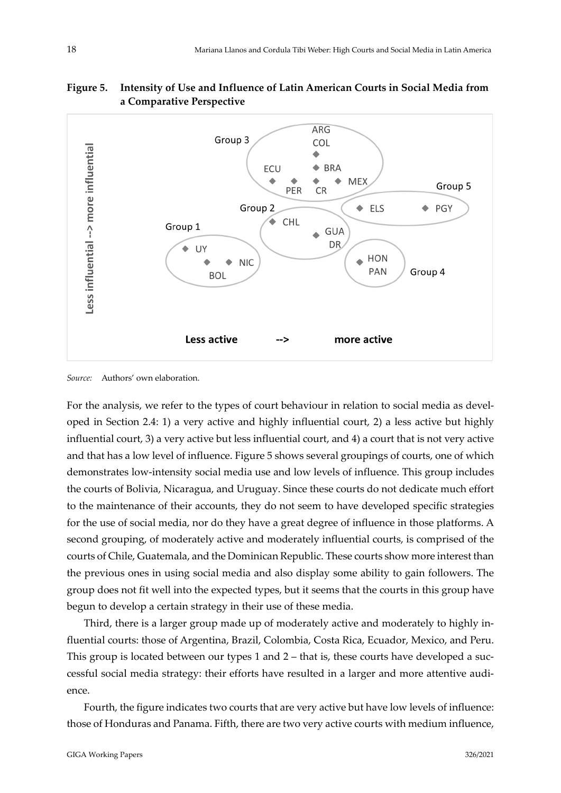

## **Figure 5. Intensity of Use and Influence of Latin American Courts in Social Media from a Comparative Perspective**

*Source:* Authors' own elaboration.

For the analysis, we refer to the types of court behaviour in relation to social media as developed in Section 2.4: 1) a very active and highly influential court, 2) a less active but highly influential court, 3) a very active but less influential court, and 4) a court that is not very active and that has a low level of influence. Figure 5 shows several groupings of courts, one of which demonstrates low-intensity social media use and low levels of influence. This group includes the courts of Bolivia, Nicaragua, and Uruguay. Since these courts do not dedicate much effort to the maintenance of their accounts, they do not seem to have developed specific strategies for the use of social media, nor do they have a great degree of influence in those platforms. A second grouping, of moderately active and moderately influential courts, is comprised of the courts of Chile, Guatemala, and the Dominican Republic. These courts show more interest than the previous ones in using social media and also display some ability to gain followers. The group does not fit well into the expected types, but it seems that the courts in this group have begun to develop a certain strategy in their use of these media.

Third, there is a larger group made up of moderately active and moderately to highly influential courts: those of Argentina, Brazil, Colombia, Costa Rica, Ecuador, Mexico, and Peru. This group is located between our types 1 and 2 – that is, these courts have developed a successful social media strategy: their efforts have resulted in a larger and more attentive audience.

Fourth, the figure indicates two courts that are very active but have low levels of influence: those of Honduras and Panama. Fifth, there are two very active courts with medium influence,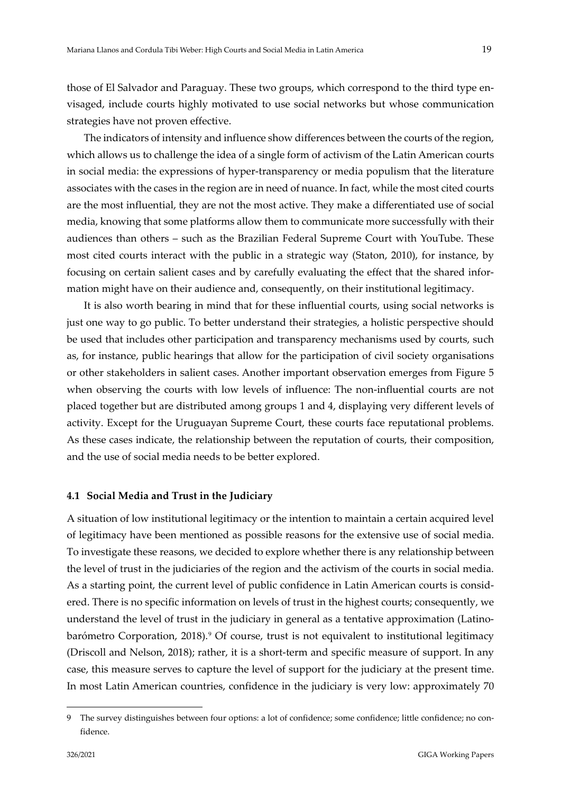those of El Salvador and Paraguay. These two groups, which correspond to the third type envisaged, include courts highly motivated to use social networks but whose communication strategies have not proven effective.

The indicators of intensity and influence show differences between the courts of the region, which allows us to challenge the idea of a single form of activism of the Latin American courts in social media: the expressions of hyper-transparency or media populism that the literature associates with the cases in the region are in need of nuance. In fact, while the most cited courts are the most influential, they are not the most active. They make a differentiated use of social media, knowing that some platforms allow them to communicate more successfully with their audiences than others – such as the Brazilian Federal Supreme Court with YouTube. These most cited courts interact with the public in a strategic way (Staton, 2010), for instance, by focusing on certain salient cases and by carefully evaluating the effect that the shared information might have on their audience and, consequently, on their institutional legitimacy.

It is also worth bearing in mind that for these influential courts, using social networks is just one way to go public. To better understand their strategies, a holistic perspective should be used that includes other participation and transparency mechanisms used by courts, such as, for instance, public hearings that allow for the participation of civil society organisations or other stakeholders in salient cases. Another important observation emerges from Figure 5 when observing the courts with low levels of influence: The non-influential courts are not placed together but are distributed among groups 1 and 4, displaying very different levels of activity. Except for the Uruguayan Supreme Court, these courts face reputational problems. As these cases indicate, the relationship between the reputation of courts, their composition, and the use of social media needs to be better explored.

#### **4.1 Social Media and Trust in the Judiciary**

A situation of low institutional legitimacy or the intention to maintain a certain acquired level of legitimacy have been mentioned as possible reasons for the extensive use of social media. To investigate these reasons, we decided to explore whether there is any relationship between the level of trust in the judiciaries of the region and the activism of the courts in social media. As a starting point, the current level of public confidence in Latin American courts is considered. There is no specific information on levels of trust in the highest courts; consequently, we understand the level of trust in the judiciary in general as a tentative approximation (Latinobarómetro Corporation, 2018).[9](#page-18-0) Of course, trust is not equivalent to institutional legitimacy (Driscoll and Nelson, 2018); rather, it is a short-term and specific measure of support. In any case, this measure serves to capture the level of support for the judiciary at the present time. In most Latin American countries, confidence in the judiciary is very low: approximately 70

<span id="page-18-0"></span><sup>9</sup> The survey distinguishes between four options: a lot of confidence; some confidence; little confidence; no confidence.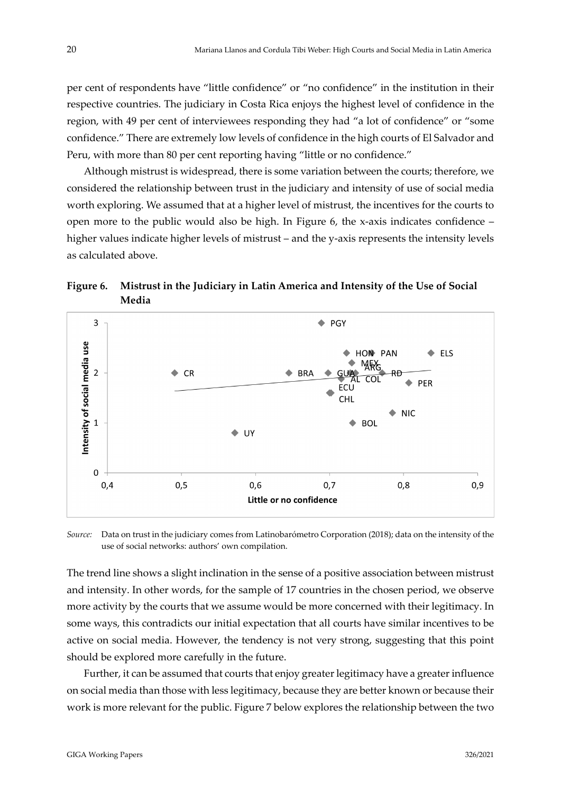per cent of respondents have "little confidence" or "no confidence" in the institution in their respective countries. The judiciary in Costa Rica enjoys the highest level of confidence in the region, with 49 per cent of interviewees responding they had "a lot of confidence" or "some confidence." There are extremely low levels of confidence in the high courts of El Salvador and Peru, with more than 80 per cent reporting having "little or no confidence."

Although mistrust is widespread, there is some variation between the courts; therefore, we considered the relationship between trust in the judiciary and intensity of use of social media worth exploring. We assumed that at a higher level of mistrust, the incentives for the courts to open more to the public would also be high. In Figure 6, the x-axis indicates confidence – higher values indicate higher levels of mistrust – and the y-axis represents the intensity levels as calculated above.

**Figure 6. Mistrust in the Judiciary in Latin America and Intensity of the Use of Social Media**



*Source:* Data on trust in the judiciary comes from Latinobarómetro Corporation (2018); data on the intensity of the use of social networks: authors' own compilation.

The trend line shows a slight inclination in the sense of a positive association between mistrust and intensity. In other words, for the sample of 17 countries in the chosen period, we observe more activity by the courts that we assume would be more concerned with their legitimacy. In some ways, this contradicts our initial expectation that all courts have similar incentives to be active on social media. However, the tendency is not very strong, suggesting that this point should be explored more carefully in the future.

Further, it can be assumed that courts that enjoy greater legitimacy have a greater influence on social media than those with less legitimacy, because they are better known or because their work is more relevant for the public. Figure 7 below explores the relationship between the two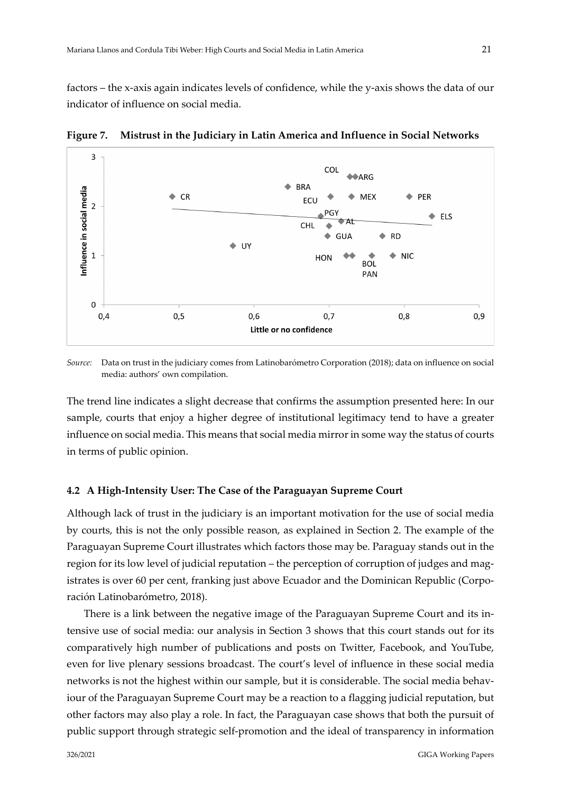factors – the x-axis again indicates levels of confidence, while the y-axis shows the data of our indicator of influence on social media.



**Figure 7. Mistrust in the Judiciary in Latin America and Influence in Social Networks**

*Source:* Data on trust in the judiciary comes from Latinobarómetro Corporation (2018); data on influence on social media: authors' own compilation.

The trend line indicates a slight decrease that confirms the assumption presented here: In our sample, courts that enjoy a higher degree of institutional legitimacy tend to have a greater influence on social media. This means that social media mirror in some way the status of courts in terms of public opinion.

#### **4.2 A High-Intensity User: The Case of the Paraguayan Supreme Court**

Although lack of trust in the judiciary is an important motivation for the use of social media by courts, this is not the only possible reason, as explained in Section 2. The example of the Paraguayan Supreme Court illustrates which factors those may be. Paraguay stands out in the region for its low level of judicial reputation – the perception of corruption of judges and magistrates is over 60 per cent, franking just above Ecuador and the Dominican Republic (Corporación Latinobarómetro, 2018).

There is a link between the negative image of the Paraguayan Supreme Court and its intensive use of social media: our analysis in Section 3 shows that this court stands out for its comparatively high number of publications and posts on Twitter, Facebook, and YouTube, even for live plenary sessions broadcast. The court's level of influence in these social media networks is not the highest within our sample, but it is considerable. The social media behaviour of the Paraguayan Supreme Court may be a reaction to a flagging judicial reputation, but other factors may also play a role. In fact, the Paraguayan case shows that both the pursuit of public support through strategic self-promotion and the ideal of transparency in information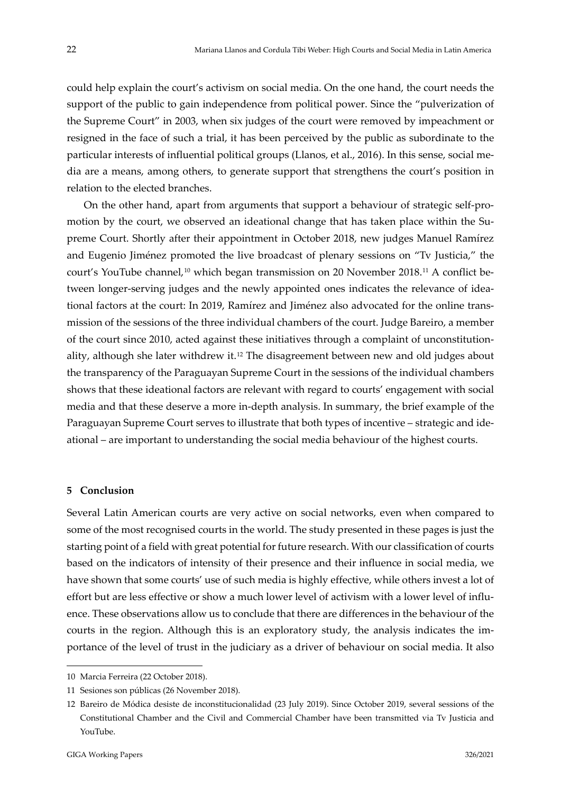could help explain the court's activism on social media. On the one hand, the court needs the support of the public to gain independence from political power. Since the "pulverization of the Supreme Court" in 2003, when six judges of the court were removed by impeachment or resigned in the face of such a trial, it has been perceived by the public as subordinate to the particular interests of influential political groups (Llanos, et al., 2016). In this sense, social media are a means, among others, to generate support that strengthens the court's position in relation to the elected branches.

On the other hand, apart from arguments that support a behaviour of strategic self-promotion by the court, we observed an ideational change that has taken place within the Supreme Court. Shortly after their appointment in October 2018, new judges Manuel Ramírez and Eugenio Jiménez promoted the live broadcast of plenary sessions on "Tv Justicia," the court's YouTube channel,<sup>[10](#page-21-1)</sup> which began transmission on 20 November 2018.<sup>[11](#page-21-2)</sup> A conflict between longer-serving judges and the newly appointed ones indicates the relevance of ideational factors at the court: In 2019, Ramírez and Jiménez also advocated for the online transmission of the sessions of the three individual chambers of the court. Judge Bareiro, a member of the court since 2010, acted against these initiatives through a complaint of unconstitutionality, although she later withdrew it.[12](#page-21-3) The disagreement between new and old judges about the transparency of the Paraguayan Supreme Court in the sessions of the individual chambers shows that these ideational factors are relevant with regard to courts' engagement with social media and that these deserve a more in-depth analysis. In summary, the brief example of the Paraguayan Supreme Court serves to illustrate that both types of incentive – strategic and ideational – are important to understanding the social media behaviour of the highest courts.

### <span id="page-21-0"></span>**5 Conclusion**

Several Latin American courts are very active on social networks, even when compared to some of the most recognised courts in the world. The study presented in these pages is just the starting point of a field with great potential for future research. With our classification of courts based on the indicators of intensity of their presence and their influence in social media, we have shown that some courts' use of such media is highly effective, while others invest a lot of effort but are less effective or show a much lower level of activism with a lower level of influence. These observations allow us to conclude that there are differences in the behaviour of the courts in the region. Although this is an exploratory study, the analysis indicates the importance of the level of trust in the judiciary as a driver of behaviour on social media. It also

<span id="page-21-1"></span><sup>10</sup> Marcia Ferreira (22 October 2018).

<span id="page-21-2"></span><sup>11</sup> Sesiones son públicas (26 November 2018).

<span id="page-21-3"></span><sup>12</sup> Bareiro de Módica desiste de inconstitucionalidad (23 July 2019). Since October 2019, several sessions of the Constitutional Chamber and the Civil and Commercial Chamber have been transmitted via Tv Justicia and YouTube.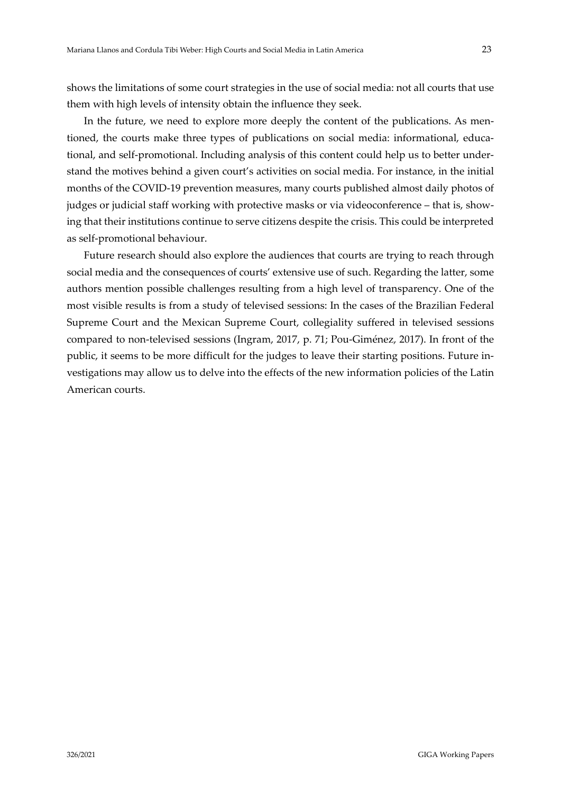shows the limitations of some court strategies in the use of social media: not all courts that use them with high levels of intensity obtain the influence they seek.

In the future, we need to explore more deeply the content of the publications. As mentioned, the courts make three types of publications on social media: informational, educational, and self-promotional. Including analysis of this content could help us to better understand the motives behind a given court's activities on social media. For instance, in the initial months of the COVID-19 prevention measures, many courts published almost daily photos of judges or judicial staff working with protective masks or via videoconference – that is, showing that their institutions continue to serve citizens despite the crisis. This could be interpreted as self-promotional behaviour.

Future research should also explore the audiences that courts are trying to reach through social media and the consequences of courts' extensive use of such. Regarding the latter, some authors mention possible challenges resulting from a high level of transparency. One of the most visible results is from a study of televised sessions: In the cases of the Brazilian Federal Supreme Court and the Mexican Supreme Court, collegiality suffered in televised sessions compared to non-televised sessions (Ingram, 2017, p. 71; Pou-Giménez, 2017). In front of the public, it seems to be more difficult for the judges to leave their starting positions. Future investigations may allow us to delve into the effects of the new information policies of the Latin American courts.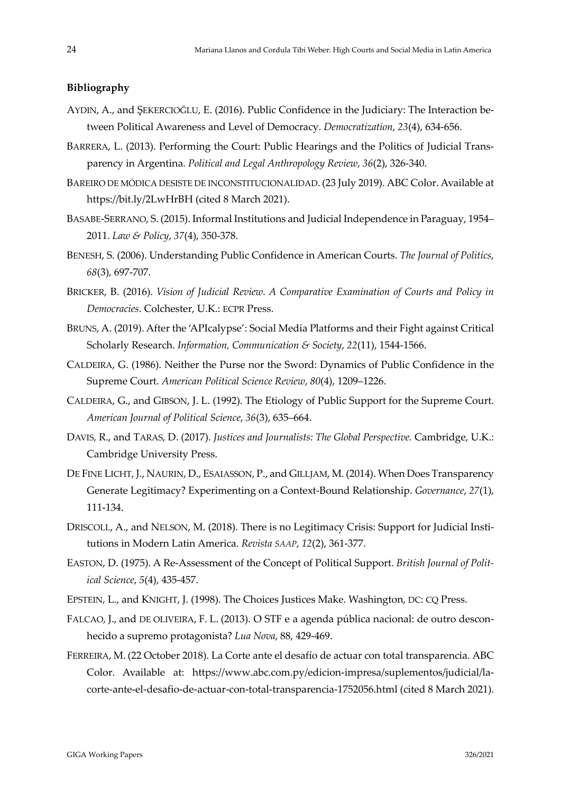## <span id="page-23-0"></span>**Bibliography**

- AYDIN, A., and ŞEKERCIOĞLU, E. (2016). Public Confidence in the Judiciary: The Interaction between Political Awareness and Level of Democracy. *Democratization*, *23*(4), 634-656.
- BARRERA, L. (2013). Performing the Court: Public Hearings and the Politics of Judicial Transparency in Argentina. *Political and Legal Anthropology Review*, *36*(2), 326-340.
- BAREIRO DE MÓDICA DESISTE DE INCONSTITUCIONALIDAD. (23 July 2019). ABC Color. Available at https://bit.ly/2LwHrBH (cited 8 March 2021).
- BASABE-SERRANO, S. (2015). Informal Institutions and Judicial Independence in Paraguay, 1954– 2011. *Law & Policy*, *37*(4), 350-378.
- BENESH, S. (2006). Understanding Public Confidence in American Courts. *The Journal of Politics*, *68*(3), 697-707.
- BRICKER, B. (2016). *Vision of Judicial Review. A Comparative Examination of Courts and Policy in Democracies*. Colchester, U.K.: ECPR Press.
- BRUNS, A. (2019). After the 'APIcalypse': Social Media Platforms and their Fight against Critical Scholarly Research. *Information, Communication & Society*, *22*(11), 1544-1566.
- CALDEIRA, G. (1986). Neither the Purse nor the Sword: Dynamics of Public Confidence in the Supreme Court. *American Political Science Review*, *80*(4), 1209–1226.
- CALDEIRA, G., and GIBSON, J. L. (1992). The Etiology of Public Support for the Supreme Court. *American Journal of Political Science*, *36*(3), 635–664.
- DAVIS, R., and TARAS, D. (2017). *Justices and Journalists: The Global Perspective.* Cambridge, U.K.: Cambridge University Press.
- DE FINE LICHT, J., NAURIN, D., ESAIASSON, P., and GILLJAM, M. (2014). When Does Transparency Generate Legitimacy? Experimenting on a Context-Bound Relationship. *Governance*, *27*(1), 111-134.
- DRISCOLL, A., and NELSON, M. (2018). There is no Legitimacy Crisis: Support for Judicial Institutions in Modern Latin America. *Revista SAAP*, *12*(2), 361-377.
- EASTON, D. (1975). A Re-Assessment of the Concept of Political Support. *British Journal of Political Science*, *5*(4), 435-457.
- EPSTEIN, L., and KNIGHT, J. (1998). The Choices Justices Make. Washington, DC: CQ Press.
- FALCAO, J., and DE OLIVEIRA, F. L. (2013). O STF e a agenda pública nacional: de outro desconhecido a supremo protagonista? *Lua Nova*, 88, 429-469.
- FERREIRA, M. (22 October 2018). La Corte ante el desafío de actuar con total transparencia. ABC Color. Available at: https://www.abc.com.py/edicion-impresa/suplementos/judicial/lacorte-ante-el-desafio-de-actuar-con-total-transparencia-1752056.html (cited 8 March 2021).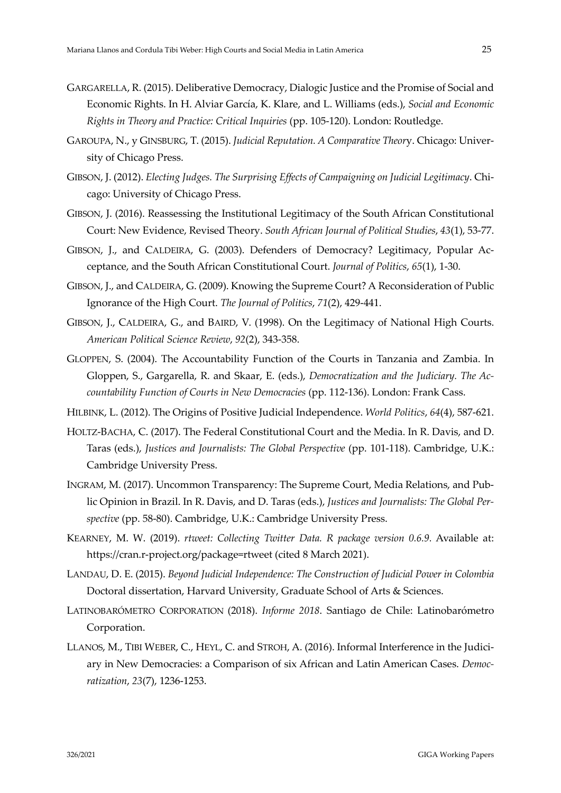- GARGARELLA, R. (2015). Deliberative Democracy, Dialogic Justice and the Promise of Social and Economic Rights. In H. Alviar García, K. Klare, and L. Williams (eds.), *Social and Economic Rights in Theory and Practice: Critical Inquiries* (pp. 105-120). London: Routledge.
- GAROUPA, N., y GINSBURG, T. (2015). *Judicial Reputation. A Comparative Theor*y. Chicago: University of Chicago Press.
- GIBSON, J. (2012). *Electing Judges. The Surprising Effects of Campaigning on Judicial Legitimacy*. Chicago: University of Chicago Press.
- GIBSON, J. (2016). Reassessing the Institutional Legitimacy of the South African Constitutional Court: New Evidence, Revised Theory. *South African Journal of Political Studies*, *43*(1), 53-77.
- GIBSON, J., and CALDEIRA, G. (2003). Defenders of Democracy? Legitimacy, Popular Acceptance, and the South African Constitutional Court. *Journal of Politics*, *65*(1), 1-30.
- GIBSON, J., and CALDEIRA, G. (2009). Knowing the Supreme Court? A Reconsideration of Public Ignorance of the High Court. *The Journal of Politics*, *71*(2), 429-441.
- GIBSON, J., CALDEIRA, G., and BAIRD, V. (1998). On the Legitimacy of National High Courts. *American Political Science Review*, *92*(2), 343-358.
- GLOPPEN, S. (2004). The Accountability Function of the Courts in Tanzania and Zambia. In Gloppen, S., Gargarella, R. and Skaar, E. (eds.), *Democratization and the Judiciary. The Accountability Function of Courts in New Democracies* (pp. 112-136). London: Frank Cass.
- HILBINK, L. (2012). The Origins of Positive Judicial Independence. *World Politics*, *64*(4), 587-621.
- HOLTZ-BACHA, C. (2017). The Federal Constitutional Court and the Media. In R. Davis, and D. Taras (eds.), *Justices and Journalists: The Global Perspective* (pp. 101-118). Cambridge, U.K.: Cambridge University Press.
- INGRAM, M. (2017). Uncommon Transparency: The Supreme Court, Media Relations, and Public Opinion in Brazil. In R. Davis, and D. Taras (eds.), *Justices and Journalists: The Global Perspective* (pp. 58-80). Cambridge, U.K.: Cambridge University Press.
- KEARNEY, M. W. (2019). *rtweet: Collecting Twitter Data. R package version 0.6.9.* Available at: https://cran.r-project.org/package=rtweet (cited 8 March 2021).
- LANDAU, D. E. (2015). *Beyond Judicial Independence: The Construction of Judicial Power in Colombia* Doctoral dissertation, Harvard University, Graduate School of Arts & Sciences.
- LATINOBARÓMETRO CORPORATION (2018). *Informe 2018*. Santiago de Chile: Latinobarómetro Corporation.
- LLANOS, M., TIBI WEBER, C., HEYL, C. and STROH, A. (2016). Informal Interference in the Judiciary in New Democracies: a Comparison of six African and Latin American Cases. *Democratization*, *23*(7), 1236-1253.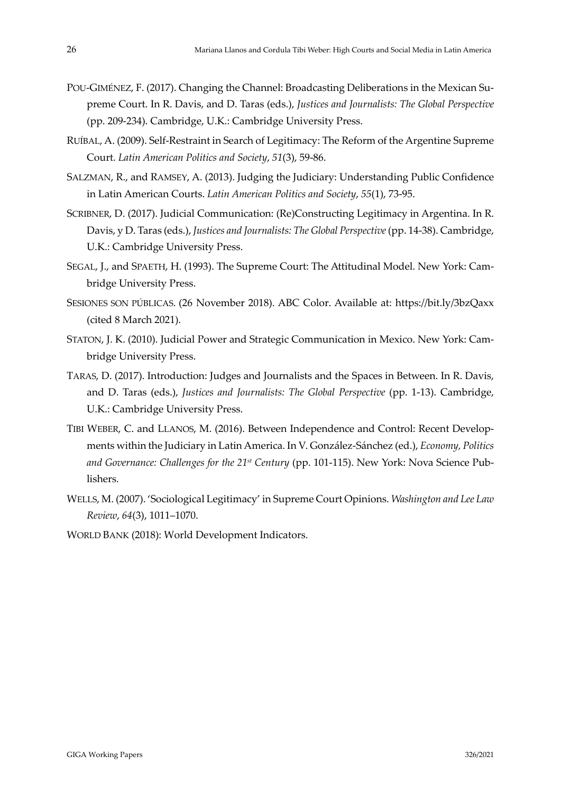- POU-GIMÉNEZ, F. (2017). Changing the Channel: Broadcasting Deliberations in the Mexican Supreme Court. In R. Davis, and D. Taras (eds.), *Justices and Journalists: The Global Perspective* (pp. 209-234). Cambridge, U.K.: Cambridge University Press.
- RUÍBAL, A. (2009). Self-Restraint in Search of Legitimacy: The Reform of the Argentine Supreme Court. *Latin American Politics and Society*, *51*(3), 59-86.
- SALZMAN, R., and RAMSEY, A. (2013). Judging the Judiciary: Understanding Public Confidence in Latin American Courts. *Latin American Politics and Society*, *55*(1), 73-95.
- SCRIBNER, D. (2017). Judicial Communication: (Re)Constructing Legitimacy in Argentina. In R. Davis, y D. Taras (eds.), *Justices and Journalists: The Global Perspective*(pp. 14-38). Cambridge, U.K.: Cambridge University Press.
- SEGAL, J., and SPAETH, H. (1993). The Supreme Court: The Attitudinal Model. New York: Cambridge University Press.
- SESIONES SON PÚBLICAS. (26 November 2018). ABC Color. Available at: https://bit.ly/3bzQaxx (cited 8 March 2021).
- STATON, J. K. (2010). Judicial Power and Strategic Communication in Mexico. New York: Cambridge University Press.
- TARAS, D. (2017). Introduction: Judges and Journalists and the Spaces in Between. In R. Davis, and D. Taras (eds.), *Justices and Journalists: The Global Perspective* (pp. 1-13). Cambridge, U.K.: Cambridge University Press.
- TIBI WEBER, C. and LLANOS, M. (2016). Between Independence and Control: Recent Developments within the Judiciary in Latin America. In V. González-Sánchez (ed.), *Economy, Politics and Governance: Challenges for the 21st Century* (pp. 101-115). New York: Nova Science Publishers.
- WELLS, M. (2007). 'Sociological Legitimacy' in Supreme Court Opinions. *Washington and Lee Law Review*, *64*(3), 1011–1070.
- WORLD BANK (2018): World Development Indicators.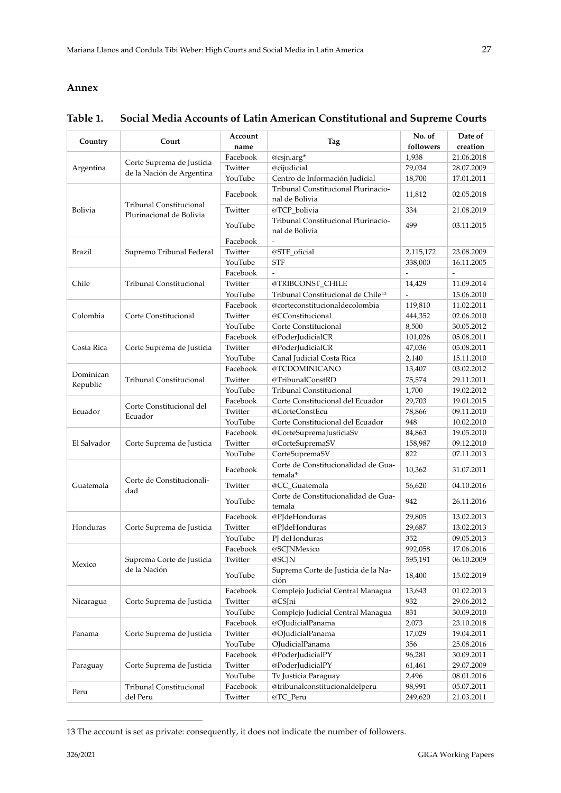### <span id="page-26-0"></span>**Annex**

#### **Country Court Account name CONFIDENT CONFIDENT CONFIDENT**  $\begin{matrix} \text{No. of} \\ \text{followed} \end{matrix}$ **followers Date of creation** Argentina Corte Suprema de Justicia de la Nación de Argentina Facebook @csjn.arg\* 1,938 21.06.2018 Twitter @cijudicial 79,034 28.07.2009 YouTube Centro de Información Judicial 18,700 17.01.2011 Bolivia Tribunal Constitucional Plurinacional de Bolivia Facebook Tribunal Constitucional Plurinacional de Bolivia **11,812** 11,812 02.05.2018 Twitter @TCP\_bolivia 334 21.08.2019 YouTube Tribunal Constitucional Plurinacional de Bolivia de Bolivia de Bolivia de Bolivia de Bolivia de Bolivia de Bolivia de Antonio de la 199 Brazil Supremo Tribunal Federal Facebook Twitter @STF\_oficial 2,115,172 23.08.2009 YouTube STF 338,000 16.11.2005 Chile Tribunal Constitucional Facebook Twitter @TRIBCONST\_CHILE 14,429 11.09.2014 YouTube Tribunal Constitucional de Chile<sup>[13](#page-26-1)</sup> - 15.06.2010 Colombia Corte Constitucional Facebook @corteconstitucionaldecolombia 119,810 11.02.2011 Twitter @CConstitucional 444,352 02.06.2010 YouTube Corte Constitucional 8,500 30.05.2012 Costa Rica | Corte Suprema de Justicia Facebook @PoderJudicialCR 101,026 05.08.2011 Twitter @PoderJudicialCR 47,036 05.08.2011 YouTube Canal Judicial Costa Rica 2,140 15.11.2010 Dominican Republic Tribunal Constitucional Facebook @TCDOMINICANO 13,407 03.02.2012 Twitter @TribunalConstRD 75,574 29.11.2011 YouTube Tribunal Constitucional 1,700 19.02.2012 Ecuador Corte Constitucional del Ecuador Facebook Corte Constitucional del Ecuador 29,703 19.01.2015 Twitter @CorteConstEcu 78,866 09.11.2010 YouTube Corte Constitucional del Ecuador 948 10.02.2010 El Salvador | Corte Suprema de Justicia Facebook @CorteSupremaJusticiaSv 84,863 19.05.2010 Twitter @CorteSupremaSV 158,987 09.12.2010 YouTube CorteSupremaSV 822 07.11.2013 Guatemala Corte de Constitucionalidad Facebook Corte de Constitucionalidad de Gua-<br>
temala\* 10,362 31.07.2011 Twitter @CC\_Guatemala 56,620 04.10.2016 YouTube Corte de Constitucionalidad de Guatemala  $\begin{array}{|c|c|c|c|c|c|}\n\hline\n\text{temala} & & \text{942} \\
\hline\n\end{array}$  26.11.2016 Honduras | Corte Suprema de Justicia Facebook @PJdeHonduras 29,805 13.02.2013 Twitter @PJdeHonduras 29,687 13.02.2013 YouTube PJ deHonduras 352 09.05.2013 Mexico Suprema Corte de Justicia de la Nación Facebook @SCJNMexico 992,058 17.06.2016 Twitter @SCJN 595,191 06.10.2009 YouTube Suprema Corte de Justicia de la Na-<br>ción 15.02.2019 Nicaragua | Corte Suprema de Justicia Facebook | Complejo Judicial Central Managua | 13,643 | 01.02.2013 Twitter @CSJni 932 29.06.2012 YouTube Complejo Judicial Central Managua 831 30.09.2010 Panama | Corte Suprema de Justicia Facebook @OJudicialPanama 2,073 23.10.2018 Twitter @OJudicialPanama 17,029 19.04.2011 YouTube OJudicialPanama 356 25.08.2016 Paraguay | Corte Suprema de Justicia Facebook @PoderJudicialPY 96,281 30.09.2011 Twitter @PoderJudicialPY 61,461 29.07.2009 YouTube Tv Justicia Paraguay 2,496 08.01.2016 Peru Tribunal Constitucional del Peru Facebook @tribunalconstitucionaldelperu 98,991 05.07.2011 Twitter @TC\_Peru 249,620 21.03.2011

### **Table 1. Social Media Accounts of Latin American Constitutional and Supreme Courts**

<span id="page-26-1"></span><sup>13</sup> The account is set as private: consequently, it does not indicate the number of followers.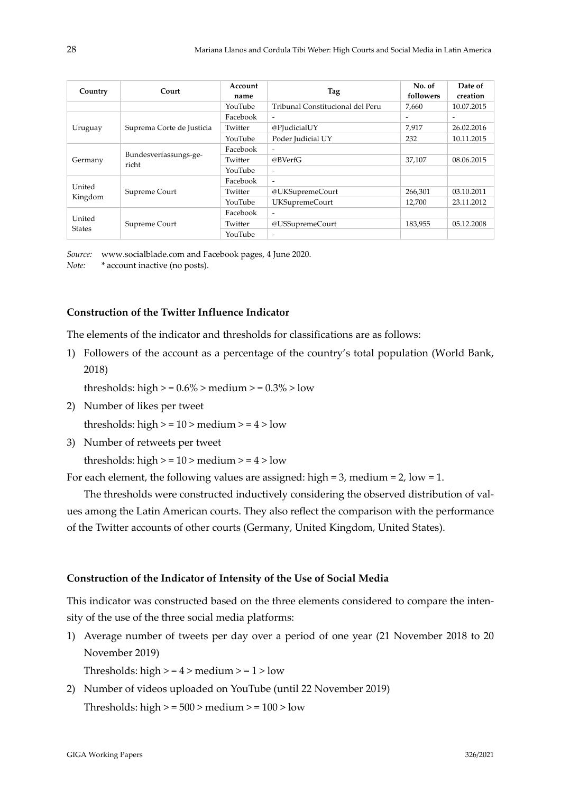| Country                 | Court                          | Account<br>name | Tag                              | No. of<br>followers | Date of<br>creation |
|-------------------------|--------------------------------|-----------------|----------------------------------|---------------------|---------------------|
|                         |                                | YouTube         | Tribunal Constitucional del Peru | 7.660               | 10.07.2015          |
| Uruguay                 | Suprema Corte de Justicia      | Facebook        | $\overline{\phantom{a}}$         | ۰                   |                     |
|                         |                                | Twitter         | @PJudicialUY                     | 7.917               | 26.02.2016          |
|                         |                                | YouTube         | Poder Judicial UY                | 232                 | 10.11.2015          |
| Germany                 | Bundesverfassungs-ge-<br>richt | Facebook        | $\overline{\phantom{a}}$         |                     |                     |
|                         |                                | Twitter         | @BVerfG                          | 37.107              | 08.06.2015          |
|                         |                                | YouTube         | $\overline{\phantom{a}}$         |                     |                     |
| United<br>Kingdom       | Supreme Court                  | Facebook        | $\overline{\phantom{a}}$         |                     |                     |
|                         |                                | Twitter         | @UKSupremeCourt                  | 266,301             | 03.10.2011          |
|                         |                                | YouTube         | <b>UKSupremeCourt</b>            | 12,700              | 23.11.2012          |
| United<br><b>States</b> | Supreme Court                  | Facebook        | $\overline{\phantom{a}}$         |                     |                     |
|                         |                                | Twitter         | @USSupremeCourt                  | 183,955             | 05.12.2008          |
|                         |                                | YouTube         | $\overline{\phantom{a}}$         |                     |                     |

*Source:* www.socialblade.com and Facebook pages, 4 June 2020. *Note:* \* account inactive (no posts).

#### **Construction of the Twitter Influence Indicator**

The elements of the indicator and thresholds for classifications are as follows:

1) Followers of the account as a percentage of the country's total population (World Bank, 2018)

thresholds: high  $> = 0.6\%$  > medium  $> = 0.3\%$  > low

2) Number of likes per tweet

thresholds: high  $> = 10$  > medium  $> = 4$  > low

3) Number of retweets per tweet

thresholds: high  $> = 10$  > medium  $> = 4$  > low

For each element, the following values are assigned: high = 3, medium = 2, low = 1.

The thresholds were constructed inductively considering the observed distribution of values among the Latin American courts. They also reflect the comparison with the performance of the Twitter accounts of other courts (Germany, United Kingdom, United States).

#### **Construction of the Indicator of Intensity of the Use of Social Media**

This indicator was constructed based on the three elements considered to compare the intensity of the use of the three social media platforms:

1) Average number of tweets per day over a period of one year (21 November 2018 to 20 November 2019)

Thresholds: high  $> = 4$  > medium  $> = 1$  > low

2) Number of videos uploaded on YouTube (until 22 November 2019) Thresholds: high  $> = 500$  > medium  $> = 100$  > low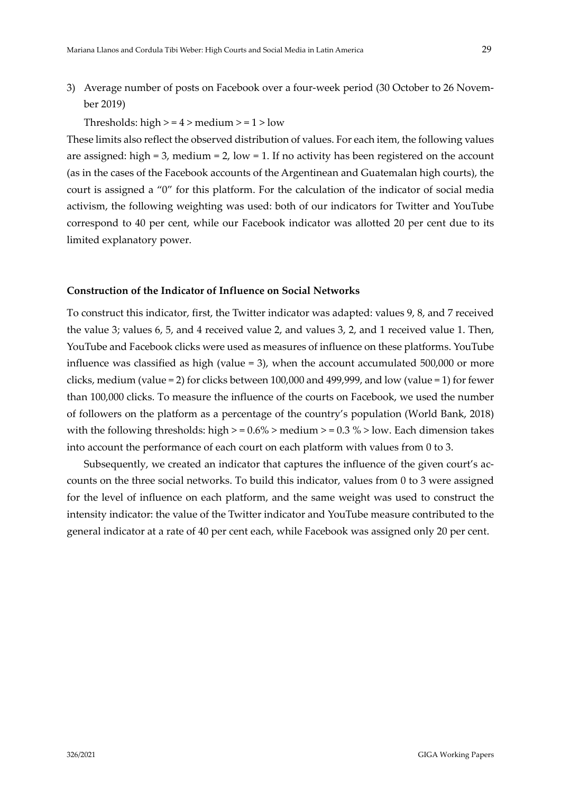## 3) Average number of posts on Facebook over a four-week period (30 October to 26 November 2019)

Thresholds: high  $> = 4$  > medium  $> = 1$  > low

These limits also reflect the observed distribution of values. For each item, the following values are assigned: high = 3, medium = 2, low = 1. If no activity has been registered on the account (as in the cases of the Facebook accounts of the Argentinean and Guatemalan high courts), the court is assigned a "0" for this platform. For the calculation of the indicator of social media activism, the following weighting was used: both of our indicators for Twitter and YouTube correspond to 40 per cent, while our Facebook indicator was allotted 20 per cent due to its limited explanatory power.

#### **Construction of the Indicator of Influence on Social Networks**

To construct this indicator, first, the Twitter indicator was adapted: values 9, 8, and 7 received the value 3; values 6, 5, and 4 received value 2, and values 3, 2, and 1 received value 1. Then, YouTube and Facebook clicks were used as measures of influence on these platforms. YouTube influence was classified as high (value = 3), when the account accumulated 500,000 or more clicks, medium (value = 2) for clicks between 100,000 and 499,999, and low (value = 1) for fewer than 100,000 clicks. To measure the influence of the courts on Facebook, we used the number of followers on the platform as a percentage of the country's population (World Bank, 2018) with the following thresholds: high  $> = 0.6\%$  > medium  $> = 0.3\%$  > low. Each dimension takes into account the performance of each court on each platform with values from 0 to 3.

Subsequently, we created an indicator that captures the influence of the given court's accounts on the three social networks. To build this indicator, values from 0 to 3 were assigned for the level of influence on each platform, and the same weight was used to construct the intensity indicator: the value of the Twitter indicator and YouTube measure contributed to the general indicator at a rate of 40 per cent each, while Facebook was assigned only 20 per cent.